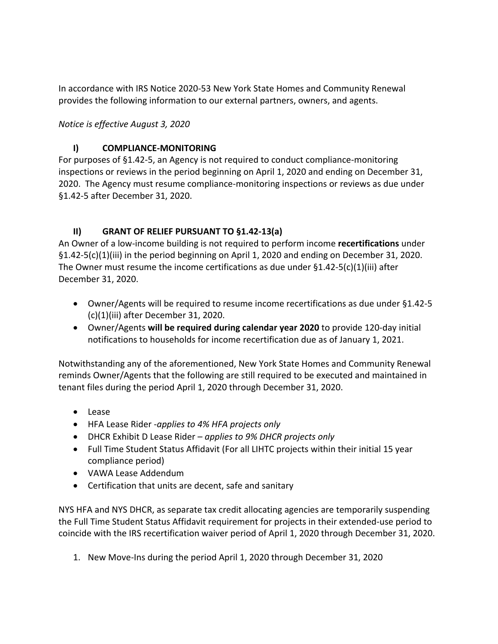In accordance with IRS Notice 2020-53 New York State Homes and Community Renewal provides the following information to our external partners, owners, and agents.

*Notice is effective August 3, 2020*

## **I) COMPLIANCE-MONITORING**

For purposes of §1.42-5, an Agency is not required to conduct compliance-monitoring inspections or reviews in the period beginning on April 1, 2020 and ending on December 31, 2020. The Agency must resume compliance-monitoring inspections or reviews as due under §1.42-5 after December 31, 2020.

## **II) GRANT OF RELIEF PURSUANT TO §1.42-13(a)**

An Owner of a low-income building is not required to perform income **recertifications** under  $\S 1.42 - 5(c)(1)(iii)$  in the period beginning on April 1, 2020 and ending on December 31, 2020. The Owner must resume the income certifications as due under  $\S 1.42 - 5(c)(1)(iii)$  after December 31, 2020.

- Owner/Agents will be required to resume income recertifications as due under §1.42-5 (c)(1)(iii) after December 31, 2020.
- Owner/Agents **will be required during calendar year 2020** to provide 120-day initial notifications to households for income recertification due as of January 1, 2021.

Notwithstanding any of the aforementioned, New York State Homes and Community Renewal reminds Owner/Agents that the following are still required to be executed and maintained in tenant files during the period April 1, 2020 through December 31, 2020.

- Lease
- HFA Lease Rider -*applies to 4% HFA projects only*
- DHCR Exhibit D Lease Rider *applies to 9% DHCR projects only*
- Full Time Student Status Affidavit (For all LIHTC projects within their initial 15 year compliance period)
- VAWA Lease Addendum
- Certification that units are decent, safe and sanitary

NYS HFA and NYS DHCR, as separate tax credit allocating agencies are temporarily suspending the Full Time Student Status Affidavit requirement for projects in their extended-use period to coincide with the IRS recertification waiver period of April 1, 2020 through December 31, 2020.

1. New Move-Ins during the period April 1, 2020 through December 31, 2020